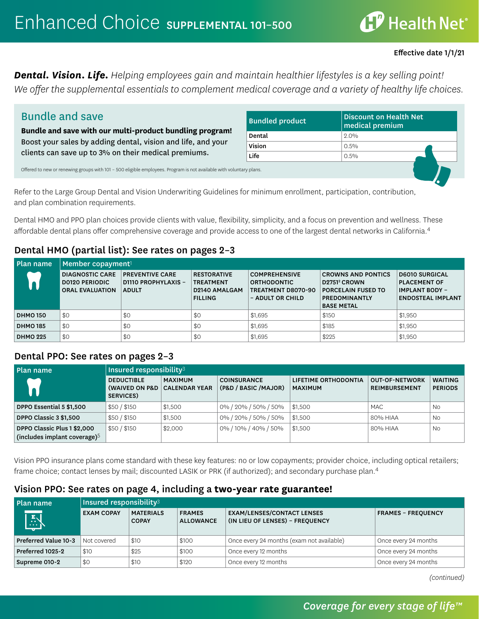# $\mathbf{f}^p$  Health Net $^{\circ}$

#### Effective date 1/1/21

*Dental. Vision. Life. Helping employees gain and maintain healthier lifestyles is a key selling point! We offer the supplemental essentials to complement medical coverage and a variety of healthy life choices.* 

| <b>Bundle and save</b>                                                                                                                                                      | <b>Bundled product</b> | Discount on Health Net<br>medical premium |
|-----------------------------------------------------------------------------------------------------------------------------------------------------------------------------|------------------------|-------------------------------------------|
| Bundle and save with our multi-product bundling program!                                                                                                                    | Dental                 | $2.0\%$                                   |
| Boost your sales by adding dental, vision and life, and your                                                                                                                | Vision                 | $0.5\%$                                   |
|                                                                                                                                                                             | <b>Life</b>            | $0.5\%$                                   |
| clients can save up to 3% on their medical premiums.<br>Offered to new or renewing groups with 101 - 500 eligible employees. Program is not available with voluntary plans. |                        |                                           |

Refer to the Large Group Dental and Vision Underwriting Guidelines for minimum enrollment, participation, contribution, and plan combination requirements.

Dental HMO and PPO plan choices provide clients with value, flexibility, simplicity, and a focus on prevention and wellness. These affordable dental plans offer comprehensive coverage and provide access to one of the largest dental networks in California.<sup>4</sup>

#### Dental HMO (partial list): See rates on pages 2–3

| <b>Plan name</b> | Member copayment                                                          |                                                                      |                                                                           |                                                                                      |                                                                                                                                 |                                                                                                   |  |  |  |
|------------------|---------------------------------------------------------------------------|----------------------------------------------------------------------|---------------------------------------------------------------------------|--------------------------------------------------------------------------------------|---------------------------------------------------------------------------------------------------------------------------------|---------------------------------------------------------------------------------------------------|--|--|--|
|                  | <b>DIAGNOSTIC CARE</b><br><b>DO120 PERIODIC</b><br><b>ORAL EVALUATION</b> | <b>PREVENTIVE CARE</b><br><b>D1110 PROPHYLAXIS -</b><br><b>ADULT</b> | <b>RESTORATIVE</b><br><b>TREATMENT</b><br>D2140 AMALGAM<br><b>FILLING</b> | <b>COMPREHENSIVE</b><br><b>ORTHODONTIC</b><br>TREATMENT D8070-90<br>- ADULT OR CHILD | <b>CROWNS AND PONTICS</b><br>D2751 <sup>2</sup> CROWN<br><b>PORCELAIN FUSED TO</b><br><b>PREDOMINANTLY</b><br><b>BASE METAL</b> | <b>D6010 SURGICAL</b><br><b>PLACEMENT OF</b><br><b>IMPLANT BODY -</b><br><b>ENDOSTEAL IMPLANT</b> |  |  |  |
| <b>DHMO 150</b>  | \$0                                                                       | \$0                                                                  | \$0                                                                       | \$1,695                                                                              | \$150                                                                                                                           | \$1,950                                                                                           |  |  |  |
| <b>DHMO 185</b>  | \$0                                                                       | \$0                                                                  | \$0                                                                       | \$1,695                                                                              | \$185                                                                                                                           | \$1,950                                                                                           |  |  |  |
| <b>DHMO 225</b>  | \$0                                                                       | \$0                                                                  | \$0                                                                       | \$1,695                                                                              | \$225                                                                                                                           | \$1,950                                                                                           |  |  |  |

#### Dental PPO: See rates on pages 2–3

| Plan name                                                      | Insured responsibility $3$                       |                                        |                                             |                                        |                                        |                                  |  |  |
|----------------------------------------------------------------|--------------------------------------------------|----------------------------------------|---------------------------------------------|----------------------------------------|----------------------------------------|----------------------------------|--|--|
|                                                                | <b>DEDUCTIBLE</b><br>(WAIVED ON P&D<br>SERVICES) | <b>MAXIMUM</b><br><b>CALENDAR YEAR</b> | <b>COINSURANCE</b><br>(P&D / BASIC / MAJOR) | LIFETIME ORTHODONTIA<br><b>MAXIMUM</b> | <b>OUT-OF-NETWORK</b><br>REIMBURSEMENT | <b>WAITING</b><br><b>PERIODS</b> |  |  |
| DPPO Essential 5 \$1,500                                       | \$50/\$150                                       | \$1,500                                | 0% / 20% / 50% / 50%                        | \$1,500                                | <b>MAC</b>                             | No.                              |  |  |
| DPPO Classic 3 \$1,500                                         | \$50/\$150                                       | \$1,500                                | 0% / 20% / 50% / 50%                        | \$1,500                                | 80% HIAA                               | No                               |  |  |
| DPPO Classic Plus 1 \$2,000<br>(includes implant coverage) $5$ | \$50/\$150                                       | \$2,000                                | 0% / 10% / 40% / 50%                        | \$1,500                                | 80% HIAA                               | No.                              |  |  |

Vision PPO insurance plans come standard with these key features: no or low copayments; provider choice, including optical retailers; frame choice; contact lenses by mail; discounted LASIK or PRK (if authorized); and secondary purchase plan.<sup>4</sup>

#### Vision PPO: See rates on page 4, including a **two-year rate guarantee!**

| Plan name            | Insured responsibility $3$ |                                  |                                                                                                           |                                           |                           |  |  |  |  |
|----------------------|----------------------------|----------------------------------|-----------------------------------------------------------------------------------------------------------|-------------------------------------------|---------------------------|--|--|--|--|
| EV                   | <b>EXAM COPAY</b>          | <b>MATERIALS</b><br><b>COPAY</b> | <b>EXAM/LENSES/CONTACT LENSES</b><br><b>FRAMES</b><br>(IN LIEU OF LENSES) - FREQUENCY<br><b>ALLOWANCE</b> |                                           | <b>FRAMES - FREQUENCY</b> |  |  |  |  |
| Preferred Value 10-3 | Not covered                | \$10                             | \$100                                                                                                     | Once every 24 months (exam not available) | Once every 24 months      |  |  |  |  |
| Preferred 1025-2     | \$10                       | \$25                             | \$100                                                                                                     | Once every 12 months                      | Once every 24 months      |  |  |  |  |
| Supreme 010-2        | \$0                        | \$10                             | \$120                                                                                                     | Once every 12 months                      | Once every 24 months      |  |  |  |  |

*(continued)*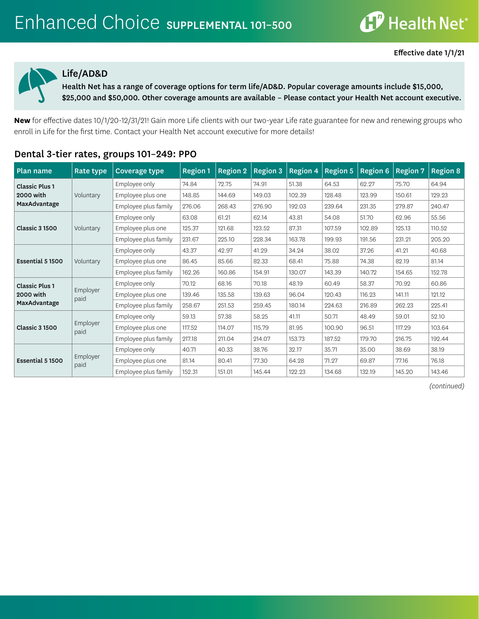

#### Life/AD&D

Health Net has a range of coverage options for term life/AD&D. Popular coverage amounts include \$15,000, \$25,000 and \$50,000. Other coverage amounts are available – Please contact your Health Net account executive.

**New** for effective dates 10/1/20-12/31/21! Gain more Life clients with our two-year Life rate guarantee for new and renewing groups who enroll in Life for the first time. Contact your Health Net account executive for more details!

| Plan name             | Rate type        | <b>Coverage type</b> | <b>Region 1</b> | <b>Region 2</b> | <b>Region 3</b> | <b>Region 4</b> | <b>Region 5</b> | <b>Region 6</b> | <b>Region 7</b> | <b>Region 8</b> |
|-----------------------|------------------|----------------------|-----------------|-----------------|-----------------|-----------------|-----------------|-----------------|-----------------|-----------------|
| <b>Classic Plus 1</b> |                  | Employee only        | 74.84           | 72.75           | 74.91           | 51.38           | 64.53           | 62.27           | 75.70           | 64.94           |
| 2000 with             | Voluntary        | Employee plus one    | 148.85          | 144.69          | 149.03          | 102.39          | 128.48          | 123.99          | 150.61          | 129.23          |
| MaxAdvantage          |                  | Employee plus family | 276.06          | 268.43          | 276.90          | 192.03          | 239.64          | 231.35          | 279.87          | 240.47          |
|                       |                  | Employee only        | 63.08           | 61.21           | 62.14           | 43.81           | 54.08           | 51.70           | 62.96           | 55.56           |
| <b>Classic 3 1500</b> | Voluntary        | Employee plus one    | 125.37          | 121.68          | 123.52          | 87.31           | 107.59          | 102.89          | 125.13          | 110.52          |
|                       |                  | Employee plus family | 231.67          | 225.10          | 228.34          | 163.78          | 199.93          | 191.56          | 231.21          | 205.20          |
|                       | Voluntary        | Employee only        | 43.37           | 42.97           | 41.29           | 34.24           | 38.02           | 37.26           | 41.21           | 40.68           |
| Essential 5 1500      |                  | Employee plus one    | 86.45           | 85.66           | 82.33           | 68.41           | 75.88           | 74.38           | 82.19           | 81.14           |
|                       |                  | Employee plus family | 162.26          | 160.86          | 154.91          | 130.07          | 143.39          | 140.72          | 154.65          | 152.78          |
| <b>Classic Plus 1</b> |                  | Employee only        | 70.12           | 68.16           | 70.18           | 48.19           | 60.49           | 58.37           | 70.92           | 60.86           |
| 2000 with             | Employer<br>paid | Employee plus one    | 139.46          | 135.58          | 139.63          | 96.04           | 120.43          | 116.23          | 141.11          | 121.12          |
| MaxAdvantage          |                  | Employee plus family | 258.67          | 251.53          | 259.45          | 180.14          | 224.63          | 216.89          | 262.23          | 225.41          |
|                       |                  | Employee only        | 59.13           | 57.38           | 58.25           | 41.11           | 50.71           | 48.49           | 59.01           | 52.10           |
| <b>Classic 3 1500</b> | Employer<br>paid | Employee plus one    | 117.52          | 114.07          | 115.79          | 81.95           | 100.90          | 96.51           | 117.29          | 103.64          |
|                       |                  | Employee plus family | 217.18          | 211.04          | 214.07          | 153.73          | 187.52          | 179.70          | 216.75          | 192.44          |
|                       |                  | Employee only        | 40.71           | 40.33           | 38.76           | 32.17           | 35.71           | 35.00           | 38.69           | 38.19           |
| Essential 5 1500      | Employer         | Employee plus one    | 81.14           | 80.41           | 77.30           | 64.28           | 71.27           | 69.87           | 77.16           | 76.18           |
|                       | paid             | Employee plus family | 152.31          | 151.01          | 145.44          | 122.23          | 134.68          | 132.19          | 145.20          | 143.46          |

### Dental 3-tier rates, groups 101–249: PPO

*(continued)*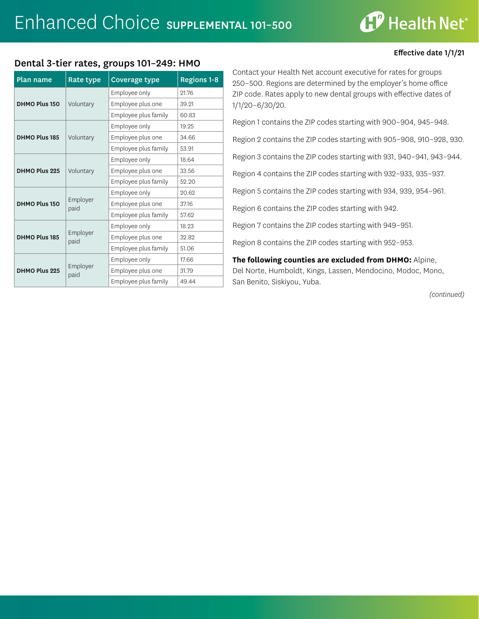# **CP** Health Net®

Effective date 1/1/21

#### Dental 3-tier rates, groups 101–249: HMO

| <b>Plan name</b> | Rate type        | <b>Coverage type</b> | <b>Regions 1-8</b> |
|------------------|------------------|----------------------|--------------------|
|                  |                  | Employee only        | 21.76              |
| DHMO Plus 150    | Voluntary        | Employee plus one    | 39.21              |
|                  |                  | Employee plus family | 60.83              |
|                  |                  | Employee only        | 19.25              |
| DHMO Plus 185    | Voluntary        | Employee plus one    | 34.66              |
|                  |                  | Employee plus family | 53.91              |
|                  |                  | Employee only        | 18.64              |
| DHMO Plus 225    | Voluntary        | Employee plus one    | 33.56              |
|                  |                  | Employee plus family | 52.20              |
|                  |                  | Employee only        | 20.62              |
| DHMO Plus 150    | Employer<br>paid | Employee plus one    | 37.16              |
|                  |                  | Employee plus family | 57.62              |
|                  |                  | Employee only        | 18.23              |
| DHMO Plus 185    | Employer<br>paid | Employee plus one    | 32.82              |
|                  |                  | Employee plus family | 51.06              |
|                  |                  | Employee only        | 17.66              |
| DHMO Plus 225    | Employer<br>paid | Employee plus one    | 31.79              |
|                  |                  | Employee plus family | 49.44              |

Contact your Health Net account executive for rates for groups 250–500. Regions are determined by the employer's home office ZIP code. Rates apply to new dental groups with effective dates of 1/1/20–6/30/20.

Region 1 contains the ZIP codes starting with 900–904, 945–948.

Region 2 contains the ZIP codes starting with 905–908, 910–928, 930.

Region 3 contains the ZIP codes starting with 931, 940–941, 943–944.

Region 4 contains the ZIP codes starting with 932–933, 935–937.

Region 5 contains the ZIP codes starting with 934, 939, 954–961.

Region 6 contains the ZIP codes starting with 942.

Region 7 contains the ZIP codes starting with 949–951.

Region 8 contains the ZIP codes starting with 952–953.

**The following counties are excluded from DHMO:** Alpine, Del Norte, Humboldt, Kings, Lassen, Mendocino, Modoc, Mono, San Benito, Siskiyou, Yuba.

*(continued)*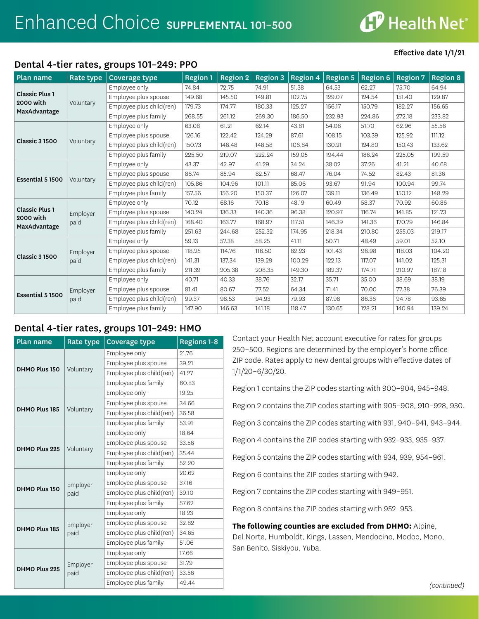**CP** Health Net®

#### Dental 4-tier rates, groups 101–249: PPO

#### Effective date 1/1/21

| Plan name                 | Rate type        | <b>Coverage type</b>     | <b>Region 1</b> | <b>Region 2</b> | <b>Region 3</b> | <b>Region 4</b> | <b>Region 5</b> | <b>Region 6</b> | <b>Region 7</b> | <b>Region 8</b> |
|---------------------------|------------------|--------------------------|-----------------|-----------------|-----------------|-----------------|-----------------|-----------------|-----------------|-----------------|
|                           |                  | Employee only            | 74.84           | 72.75           | 74.91           | 51.38           | 64.53           | 62.27           | 75.70           | 64.94           |
| <b>Classic Plus 1</b>     |                  | Employee plus spouse     | 149.68          | 145.50          | 149.81          | 102.75          | 129.07          | 124.54          | 151.40          | 129.87          |
| <b>2000 with</b>          | Voluntary        | Employee plus child(ren) | 179.73          | 174.77          | 180.33          | 125.27          | 156.17          | 150.79          | 182.27          | 156.65          |
| MaxAdvantage              |                  | Employee plus family     | 268.55          | 261.12          | 269.30          | 186.50          | 232.93          | 224.86          | 272.18          | 233.82          |
|                           |                  | Employee only            | 63.08           | 61.21           | 62.14           | 43.81           | 54.08           | 51.70           | 62.96           | 55.56           |
|                           |                  | Employee plus spouse     | 126.16          | 122.42          | 124.29          | 87.61           | 108.15          | 103.39          | 125.92          | 111.12          |
| <b>Classic 3 1500</b>     | Voluntary        | Employee plus child(ren) | 150.73          | 146.48          | 148.58          | 106.84          | 130.21          | 124.80          | 150.43          | 133.62          |
|                           |                  | Employee plus family     | 225.50          | 219.07          | 222.24          | 159.05          | 194.44          | 186.24          | 225.05          | 199.59          |
|                           |                  | Employee only            | 43.37           | 42.97           | 41.29           | 34.24           | 38.02           | 37.26           | 41.21           | 40.68           |
|                           | Voluntary        | Employee plus spouse     | 86.74           | 85.94           | 82.57           | 68.47           | 76.04           | 74.52           | 82.43           | 81.36           |
| Essential 5 1500          |                  | Employee plus child(ren) | 105.86          | 104.96          | 101.11          | 85.06           | 93.67           | 91.94           | 100.94          | 99.74           |
|                           |                  | Employee plus family     | 157.56          | 156.20          | 150.37          | 126.07          | 139.11          | 136.49          | 150.12          | 148.29          |
|                           | Employer<br>paid | Employee only            | 70.12           | 68.16           | 70.18           | 48.19           | 60.49           | 58.37           | 70.92           | 60.86           |
| <b>Classic Plus 1</b>     |                  | Employee plus spouse     | 140.24          | 136.33          | 140.36          | 96.38           | 120.97          | 116.74          | 141.85          | 121.73          |
| 2000 with<br>MaxAdvantage |                  | Employee plus child(ren) | 168.40          | 163.77          | 168.97          | 117.51          | 146.39          | 141.36          | 170.79          | 146.84          |
|                           |                  | Employee plus family     | 251.63          | 244.68          | 252.32          | 174.95          | 218.34          | 210.80          | 255.03          | 219.17          |
|                           |                  | Employee only            | 59.13           | 57.38           | 58.25           | 41.11           | 50.71           | 48.49           | 59.01           | 52.10           |
| <b>Classic 3 1500</b>     | Employer         | Employee plus spouse     | 118.25          | 114.76          | 116.50          | 82.23           | 101.43          | 96.98           | 118.03          | 104.20          |
|                           | paid             | Employee plus child(ren) | 141.31          | 137.34          | 139.29          | 100.29          | 122.13          | 117.07          | 141.02          | 125.31          |
|                           |                  | Employee plus family     | 211.39          | 205.38          | 208.35          | 149.30          | 182.37          | 174.71          | 210.97          | 187.18          |
|                           |                  | Employee only            | 40.71           | 40.33           | 38.76           | 32.17           | 35.71           | 35.00           | 38.69           | 38.19           |
|                           | Employer         | Employee plus spouse     | 81.41           | 80.67           | 77.52           | 64.34           | 71.41           | 70.00           | 77.38           | 76.39           |
| Essential 5 1500          | paid             | Employee plus child(ren) | 99.37           | 98.53           | 94.93           | 79.93           | 87.98           | 86.36           | 94.78           | 93.65           |
|                           |                  | Employee plus family     | 147.90          | 146.63          | 141.18          | 118.47          | 130.65          | 128.21          | 140.94          | 139.24          |

## Dental 4-tier rates, groups 101–249: HMO

| <b>Plan name</b> | Rate type        | <b>Coverage type</b>     | <b>Regions 1-8</b> |
|------------------|------------------|--------------------------|--------------------|
|                  |                  | Employee only            | 21.76              |
|                  |                  | Employee plus spouse     | 39.21              |
| DHMO Plus 150    | Voluntary        | Employee plus child(ren) | 41.27              |
|                  |                  | Employee plus family     | 60.83              |
|                  |                  | Employee only            | 19.25              |
|                  |                  | Employee plus spouse     | 34.66              |
| DHMO Plus 185    | Voluntary        | Employee plus child(ren) | 36.58              |
|                  |                  | Employee plus family     | 53.91              |
|                  |                  | Employee only            | 18.64              |
|                  | Voluntary        | Employee plus spouse     | 33.56              |
| DHMO Plus 225    |                  | Employee plus child(ren) | 35.44              |
|                  |                  | Employee plus family     | 52.20              |
|                  |                  | Employee only            | 20.62              |
|                  | Employer<br>paid | Employee plus spouse     | 37.16              |
| DHMO Plus 150    |                  | Employee plus child(ren) | 39.10              |
|                  |                  | Employee plus family     | 57.62              |
|                  |                  | Employee only            | 18.23              |
|                  | Employer         | Employee plus spouse     | 32.82              |
| DHMO Plus 185    | paid             | Employee plus child(ren) | 34.65              |
|                  |                  | Employee plus family     | 51.06              |
|                  |                  | Employee only            | 17.66              |
|                  | Employer         | Employee plus spouse     | 31.79              |
| DHMO Plus 225    | paid             | Employee plus child(ren) | 33.56              |
|                  |                  | Employee plus family     | 49.44              |

Contact your Health Net account executive for rates for groups 250–500. Regions are determined by the employer's home office ZIP code. Rates apply to new dental groups with effective dates of 1/1/20–6/30/20.

Region 1 contains the ZIP codes starting with 900–904, 945–948.

Region 2 contains the ZIP codes starting with 905–908, 910–928, 930.

Region 3 contains the ZIP codes starting with 931, 940–941, 943–944.

Region 4 contains the ZIP codes starting with 932–933, 935–937.

Region 5 contains the ZIP codes starting with 934, 939, 954–961.

Region 6 contains the ZIP codes starting with 942.

Region 7 contains the ZIP codes starting with 949–951.

Region 8 contains the ZIP codes starting with 952–953.

**The following counties are excluded from DHMO:** Alpine, Del Norte, Humboldt, Kings, Lassen, Mendocino, Modoc, Mono, San Benito, Siskiyou, Yuba.